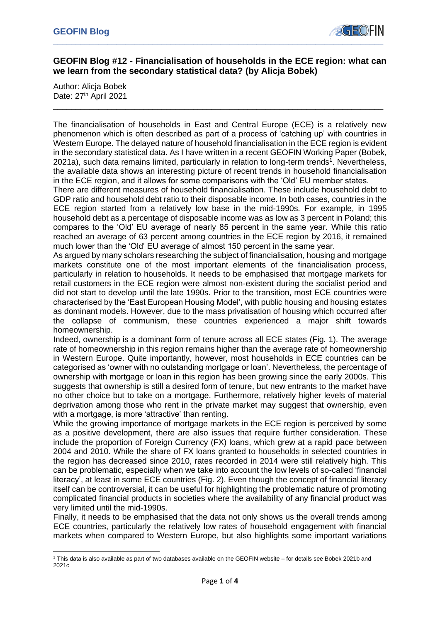

## **GEOFIN Blog #12 - Financialisation of households in the ECE region: what can we learn from the secondary statistical data? (by Alicja Bobek)**

\_\_\_\_\_\_\_\_\_\_\_\_\_\_\_\_\_\_\_\_\_\_\_\_\_\_\_\_\_\_\_\_\_\_\_\_\_\_\_\_\_\_\_\_\_\_\_\_\_\_\_\_\_\_\_\_\_\_\_\_\_\_\_\_\_\_\_\_\_\_\_\_\_

Author: Alicia Bobek Date: 27<sup>th</sup> April 2021

The financialisation of households in East and Central Europe (ECE) is a relatively new phenomenon which is often described as part of a process of 'catching up' with countries in Western Europe. The delayed nature of household financialisation in the ECE region is evident in the secondary statistical data. As I have written in a recent GEOFIN Working Paper (Bobek, 2021a), such data remains limited, particularly in relation to long-term trends<sup>1</sup>. Nevertheless, the available data shows an interesting picture of recent trends in household financialisation in the ECE region, and it allows for some comparisons with the 'Old' EU member states.

There are different measures of household financialisation. These include household debt to GDP ratio and household debt ratio to their disposable income. In both cases, countries in the ECE region started from a relatively low base in the mid-1990s. For example, in 1995 household debt as a percentage of disposable income was as low as 3 percent in Poland; this compares to the 'Old' EU average of nearly 85 percent in the same year. While this ratio reached an average of 63 percent among countries in the ECE region by 2016, it remained much lower than the 'Old' EU average of almost 150 percent in the same year.

As argued by many scholars researching the subject of financialisation, housing and mortgage markets constitute one of the most important elements of the financialisation process, particularly in relation to households. It needs to be emphasised that mortgage markets for retail customers in the ECE region were almost non-existent during the socialist period and did not start to develop until the late 1990s. Prior to the transition, most ECE countries were characterised by the 'East European Housing Model', with public housing and housing estates as dominant models. However, due to the mass privatisation of housing which occurred after the collapse of communism, these countries experienced a major shift towards homeownership.

Indeed, ownership is a dominant form of tenure across all ECE states (Fig. 1). The average rate of homeownership in this region remains higher than the average rate of homeownership in Western Europe. Quite importantly, however, most households in ECE countries can be categorised as 'owner with no outstanding mortgage or loan'. Nevertheless, the percentage of ownership with mortgage or loan in this region has been growing since the early 2000s. This suggests that ownership is still a desired form of tenure, but new entrants to the market have no other choice but to take on a mortgage. Furthermore, relatively higher levels of material deprivation among those who rent in the private market may suggest that ownership, even with a mortgage, is more 'attractive' than renting.

While the growing importance of mortgage markets in the ECE region is perceived by some as a positive development, there are also issues that require further consideration. These include the proportion of Foreign Currency (FX) loans, which grew at a rapid pace between 2004 and 2010. While the share of FX loans granted to households in selected countries in the region has decreased since 2010, rates recorded in 2014 were still relatively high. This can be problematic, especially when we take into account the low levels of so-called 'financial literacy', at least in some ECE countries (Fig. 2). Even though the concept of financial literacy itself can be controversial, it can be useful for highlighting the problematic nature of promoting complicated financial products in societies where the availability of any financial product was very limited until the mid-1990s.

Finally, it needs to be emphasised that the data not only shows us the overall trends among ECE countries, particularly the relatively low rates of household engagement with financial markets when compared to Western Europe, but also highlights some important variations

<sup>1</sup> This data is also available as part of two databases available on the GEOFIN website – for details see Bobek 2021b and 2021c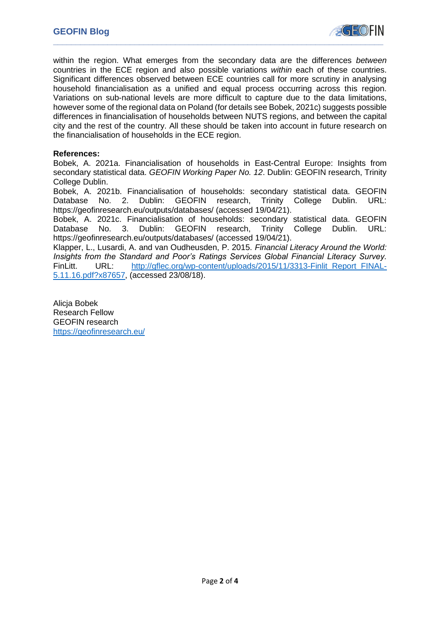

within the region. What emerges from the secondary data are the differences *between*  countries in the ECE region and also possible variations *within* each of these countries. Significant differences observed between ECE countries call for more scrutiny in analysing household financialisation as a unified and equal process occurring across this region. Variations on sub-national levels are more difficult to capture due to the data limitations, however some of the regional data on Poland (for details see Bobek, 2021c) suggests possible differences in financialisation of households between NUTS regions, and between the capital city and the rest of the country. All these should be taken into account in future research on the financialisation of households in the ECE region.

### **References:**

Bobek, A. 2021a. Financialisation of households in East-Central Europe: Insights from secondary statistical data. *GEOFIN Working Paper No. 12*. Dublin: GEOFIN research, Trinity College Dublin.

Bobek, A. 2021b. Financialisation of households: secondary statistical data. GEOFIN Database No. 2. Dublin: GEOFIN research, Trinity College Dublin. URL: https://geofinresearch.eu/outputs/databases/ (accessed 19/04/21).

Bobek, A. 2021c. Financialisation of households: secondary statistical data. GEOFIN Database No. 3. Dublin: GEOFIN research, Trinity College Dublin. URL: https://geofinresearch.eu/outputs/databases/ (accessed 19/04/21).

Klapper, L., Lusardi, A. and van Oudheusden, P. 2015. *Financial Literacy Around the World: Insights from the Standard and Poor's Ratings Services Global Financial Literacy Survey.*  FinLitt. URL: [http://gflec.org/wp-content/uploads/2015/11/3313-Finlit\\_Report\\_FINAL-](http://gflec.org/wp-content/uploads/2015/11/3313-Finlit_Report_FINAL-5.11.16.pdf?x87657)[5.11.16.pdf?x87657,](http://gflec.org/wp-content/uploads/2015/11/3313-Finlit_Report_FINAL-5.11.16.pdf?x87657) (accessed 23/08/18).

Alicja Bobek Research Fellow GEOFIN research <https://geofinresearch.eu/>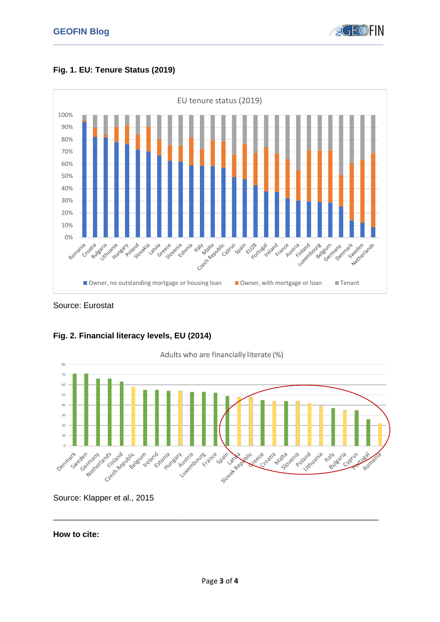





Source: Eurostat



# **Fig. 2. Financial literacy levels, EU (2014)**

Source: Klapper et al., 2015

## **How to cite:**

\_\_\_\_\_\_\_\_\_\_\_\_\_\_\_\_\_\_\_\_\_\_\_\_\_\_\_\_\_\_\_\_\_\_\_\_\_\_\_\_\_\_\_\_\_\_\_\_\_\_\_\_\_\_\_\_\_\_\_\_\_\_\_\_\_\_\_\_\_\_\_\_